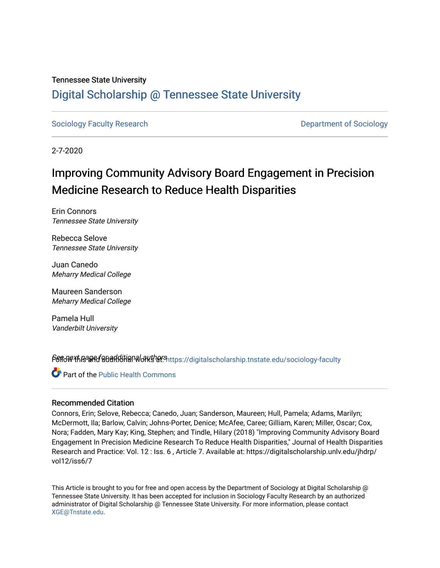# Tennessee State University

# [Digital Scholarship @ Tennessee State University](https://digitalscholarship.tnstate.edu/)

[Sociology Faculty Research](https://digitalscholarship.tnstate.edu/sociology-faculty) **Department of Sociology Department of Sociology** 

2-7-2020

# Improving Community Advisory Board Engagement in Precision Medicine Research to Reduce Health Disparities

Erin Connors Tennessee State University

Rebecca Selove Tennessee State University

Juan Canedo Meharry Medical College

Maureen Sanderson Meharry Medical College

Pamela Hull Vanderbilt University

Pert of the and ditional authors included that is cholar ship.thstate.edu/sociology-faculty

Part of the [Public Health Commons](https://network.bepress.com/hgg/discipline/738?utm_source=digitalscholarship.tnstate.edu%2Fsociology-faculty%2F9&utm_medium=PDF&utm_campaign=PDFCoverPages) 

#### Recommended Citation

Connors, Erin; Selove, Rebecca; Canedo, Juan; Sanderson, Maureen; Hull, Pamela; Adams, Marilyn; McDermott, Ila; Barlow, Calvin; Johns-Porter, Denice; McAfee, Caree; Gilliam, Karen; Miller, Oscar; Cox, Nora; Fadden, Mary Kay; King, Stephen; and Tindle, Hilary (2018) "Improving Community Advisory Board Engagement In Precision Medicine Research To Reduce Health Disparities," Journal of Health Disparities Research and Practice: Vol. 12 : Iss. 6 , Article 7. Available at: https://digitalscholarship.unlv.edu/jhdrp/ vol12/iss6/7

This Article is brought to you for free and open access by the Department of Sociology at Digital Scholarship @ Tennessee State University. It has been accepted for inclusion in Sociology Faculty Research by an authorized administrator of Digital Scholarship @ Tennessee State University. For more information, please contact [XGE@Tnstate.edu](mailto:XGE@Tnstate.edu).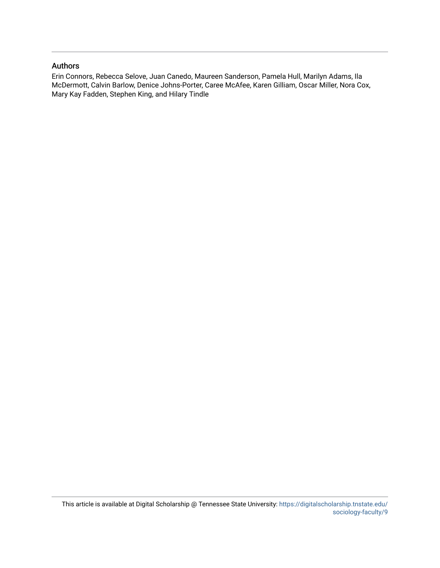## Authors

Erin Connors, Rebecca Selove, Juan Canedo, Maureen Sanderson, Pamela Hull, Marilyn Adams, Ila McDermott, Calvin Barlow, Denice Johns-Porter, Caree McAfee, Karen Gilliam, Oscar Miller, Nora Cox, Mary Kay Fadden, Stephen King, and Hilary Tindle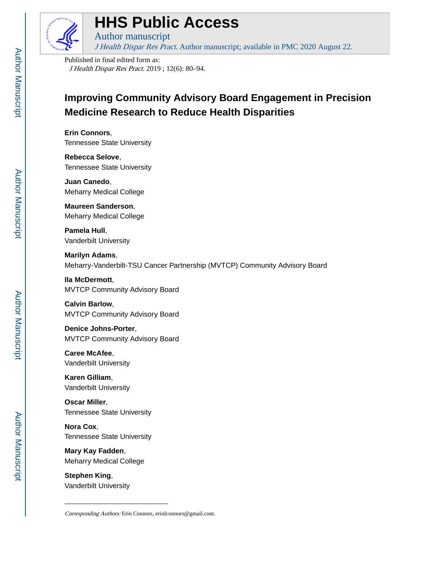

# **HHS Public Access**

Author manuscript J Health Dispar Res Pract. Author manuscript; available in PMC 2020 August 22.

Published in final edited form as: J Health Dispar Res Pract. 2019 ; 12(6): 80–94.

# **Improving Community Advisory Board Engagement in Precision Medicine Research to Reduce Health Disparities**

**Erin Connors**, Tennessee State University

**Rebecca Selove**, Tennessee State University

**Juan Canedo**, Meharry Medical College

**Maureen Sanderson**, Meharry Medical College

**Pamela Hull**, Vanderbilt University

**Marilyn Adams**, Meharry-Vanderbilt-TSU Cancer Partnership (MVTCP) Community Advisory Board

**Ila McDermott**, MVTCP Community Advisory Board

**Calvin Barlow**, MVTCP Community Advisory Board

**Denice Johns-Porter**, MVTCP Community Advisory Board

**Caree McAfee**, Vanderbilt University

**Karen Gilliam**, Vanderbilt University

**Oscar Miller**, Tennessee State University

**Nora Cox**, Tennessee State University

**Mary Kay Fadden**, Meharry Medical College

**Stephen King**, Vanderbilt University

Corresponding Authors: Erin Connors, erinlconnors@gmail.com.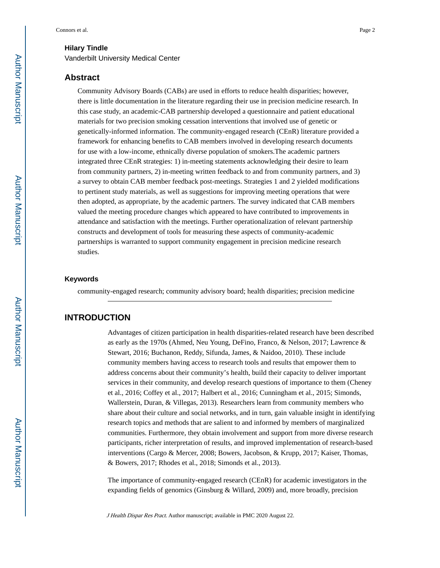#### **Hilary Tindle**

Vanderbilt University Medical Center

#### **Abstract**

Community Advisory Boards (CABs) are used in efforts to reduce health disparities; however, there is little documentation in the literature regarding their use in precision medicine research. In this case study, an academic-CAB partnership developed a questionnaire and patient educational materials for two precision smoking cessation interventions that involved use of genetic or genetically-informed information. The community-engaged research (CEnR) literature provided a framework for enhancing benefits to CAB members involved in developing research documents for use with a low-income, ethnically diverse population of smokers.The academic partners integrated three CEnR strategies: 1) in-meeting statements acknowledging their desire to learn from community partners, 2) in-meeting written feedback to and from community partners, and 3) a survey to obtain CAB member feedback post-meetings. Strategies 1 and 2 yielded modifications to pertinent study materials, as well as suggestions for improving meeting operations that were then adopted, as appropriate, by the academic partners. The survey indicated that CAB members valued the meeting procedure changes which appeared to have contributed to improvements in attendance and satisfaction with the meetings. Further operationalization of relevant partnership constructs and development of tools for measuring these aspects of community-academic partnerships is warranted to support community engagement in precision medicine research studies.

#### **Keywords**

community-engaged research; community advisory board; health disparities; precision medicine

# **INTRODUCTION**

Advantages of citizen participation in health disparities-related research have been described as early as the 1970s (Ahmed, Neu Young, DeFino, Franco, & Nelson, 2017; Lawrence & Stewart, 2016; Buchanon, Reddy, Sifunda, James, & Naidoo, 2010). These include community members having access to research tools and results that empower them to address concerns about their community's health, build their capacity to deliver important services in their community, and develop research questions of importance to them (Cheney et al., 2016; Coffey et al., 2017; Halbert et al., 2016; Cunningham et al., 2015; Simonds, Wallerstein, Duran, & Villegas, 2013). Researchers learn from community members who share about their culture and social networks, and in turn, gain valuable insight in identifying research topics and methods that are salient to and informed by members of marginalized communities. Furthermore, they obtain involvement and support from more diverse research participants, richer interpretation of results, and improved implementation of research-based interventions (Cargo & Mercer, 2008; Bowers, Jacobson, & Krupp, 2017; Kaiser, Thomas, & Bowers, 2017; Rhodes et al., 2018; Simonds et al., 2013).

The importance of community-engaged research (CEnR) for academic investigators in the expanding fields of genomics (Ginsburg & Willard, 2009) and, more broadly, precision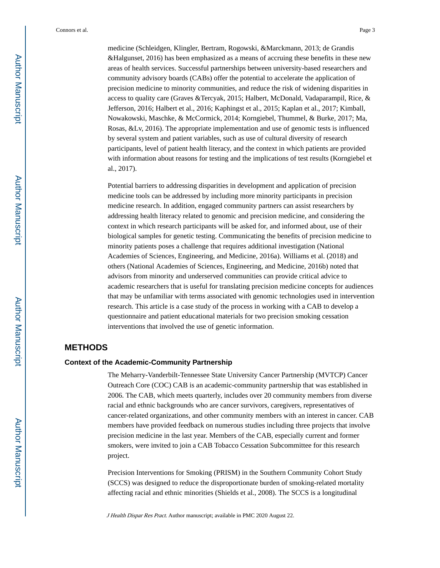medicine (Schleidgen, Klingler, Bertram, Rogowski, &Marckmann, 2013; de Grandis &Halgunset, 2016) has been emphasized as a means of accruing these benefits in these new areas of health services. Successful partnerships between university-based researchers and community advisory boards (CABs) offer the potential to accelerate the application of precision medicine to minority communities, and reduce the risk of widening disparities in access to quality care (Graves &Tercyak, 2015; Halbert, McDonald, Vadaparampil, Rice, & Jefferson, 2016; Halbert et al., 2016; Kaphingst et al., 2015; Kaplan et al., 2017; Kimball, Nowakowski, Maschke, & McCormick, 2014; Korngiebel, Thummel, & Burke, 2017; Ma, Rosas, &Lv, 2016). The appropriate implementation and use of genomic tests is influenced by several system and patient variables, such as use of cultural diversity of research participants, level of patient health literacy, and the context in which patients are provided with information about reasons for testing and the implications of test results (Korngiebel et al., 2017).

Potential barriers to addressing disparities in development and application of precision medicine tools can be addressed by including more minority participants in precision medicine research. In addition, engaged community partners can assist researchers by addressing health literacy related to genomic and precision medicine, and considering the context in which research participants will be asked for, and informed about, use of their biological samples for genetic testing. Communicating the benefits of precision medicine to minority patients poses a challenge that requires additional investigation (National Academies of Sciences, Engineering, and Medicine, 2016a). Williams et al. (2018) and others (National Academies of Sciences, Engineering, and Medicine, 2016b) noted that advisors from minority and underserved communities can provide critical advice to academic researchers that is useful for translating precision medicine concepts for audiences that may be unfamiliar with terms associated with genomic technologies used in intervention research. This article is a case study of the process in working with a CAB to develop a questionnaire and patient educational materials for two precision smoking cessation interventions that involved the use of genetic information.

# **METHODS**

#### **Context of the Academic-Community Partnership**

The Meharry-Vanderbilt-Tennessee State University Cancer Partnership (MVTCP) Cancer Outreach Core (COC) CAB is an academic-community partnership that was established in 2006. The CAB, which meets quarterly, includes over 20 community members from diverse racial and ethnic backgrounds who are cancer survivors, caregivers, representatives of cancer-related organizations, and other community members with an interest in cancer. CAB members have provided feedback on numerous studies including three projects that involve precision medicine in the last year. Members of the CAB, especially current and former smokers, were invited to join a CAB Tobacco Cessation Subcommittee for this research project.

Precision Interventions for Smoking (PRISM) in the Southern Community Cohort Study (SCCS) was designed to reduce the disproportionate burden of smoking-related mortality affecting racial and ethnic minorities (Shields et al., 2008). The SCCS is a longitudinal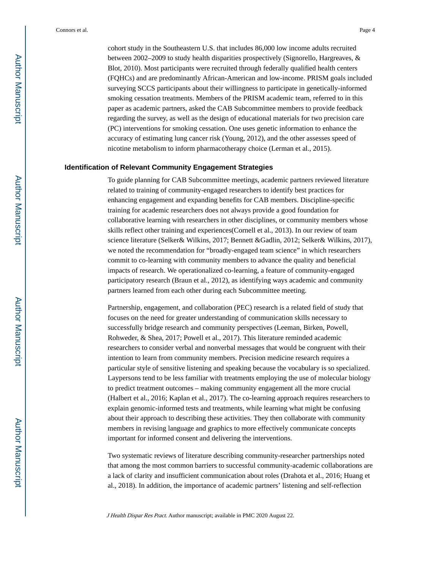cohort study in the Southeastern U.S. that includes 86,000 low income adults recruited between 2002–2009 to study health disparities prospectively (Signorello, Hargreaves, & Blot, 2010). Most participants were recruited through federally qualified health centers (FQHCs) and are predominantly African-American and low-income. PRISM goals included surveying SCCS participants about their willingness to participate in genetically-informed smoking cessation treatments. Members of the PRISM academic team, referred to in this paper as academic partners, asked the CAB Subcommittee members to provide feedback regarding the survey, as well as the design of educational materials for two precision care (PC) interventions for smoking cessation. One uses genetic information to enhance the accuracy of estimating lung cancer risk (Young, 2012), and the other assesses speed of nicotine metabolism to inform pharmacotherapy choice (Lerman et al., 2015).

#### **Identification of Relevant Community Engagement Strategies**

To guide planning for CAB Subcommittee meetings, academic partners reviewed literature related to training of community-engaged researchers to identify best practices for enhancing engagement and expanding benefits for CAB members. Discipline-specific training for academic researchers does not always provide a good foundation for collaborative learning with researchers in other disciplines, or community members whose skills reflect other training and experiences(Cornell et al., 2013). In our review of team science literature (Selker& Wilkins, 2017; Bennett &Gadlin, 2012; Selker& Wilkins, 2017), we noted the recommendation for "broadly-engaged team science" in which researchers commit to co-learning with community members to advance the quality and beneficial impacts of research. We operationalized co-learning, a feature of community-engaged participatory research (Braun et al., 2012), as identifying ways academic and community partners learned from each other during each Subcommittee meeting.

Partnership, engagement, and collaboration (PEC) research is a related field of study that focuses on the need for greater understanding of communication skills necessary to successfully bridge research and community perspectives (Leeman, Birken, Powell, Rohweder, & Shea, 2017; Powell et al., 2017). This literature reminded academic researchers to consider verbal and nonverbal messages that would be congruent with their intention to learn from community members. Precision medicine research requires a particular style of sensitive listening and speaking because the vocabulary is so specialized. Laypersons tend to be less familiar with treatments employing the use of molecular biology to predict treatment outcomes – making community engagement all the more crucial (Halbert et al., 2016; Kaplan et al., 2017). The co-learning approach requires researchers to explain genomic-informed tests and treatments, while learning what might be confusing about their approach to describing these activities. They then collaborate with community members in revising language and graphics to more effectively communicate concepts important for informed consent and delivering the interventions.

Two systematic reviews of literature describing community-researcher partnerships noted that among the most common barriers to successful community-academic collaborations are a lack of clarity and insufficient communication about roles (Drahota et al., 2016; Huang et al., 2018). In addition, the importance of academic partners' listening and self-reflection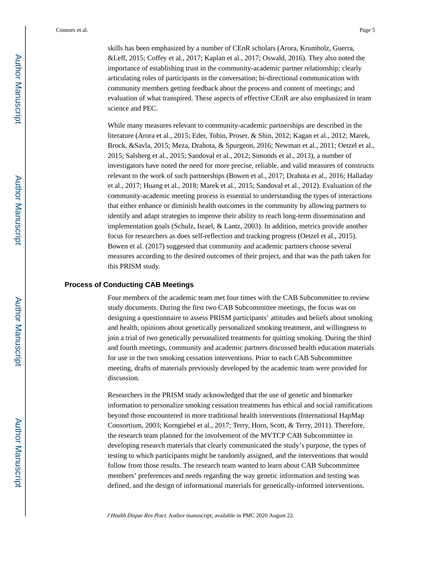skills has been emphasized by a number of CEnR scholars (Arora, Krumholz, Guerra, &Leff, 2015; Coffey et al., 2017; Kaplan et al., 2017; Oswald, 2016). They also noted the importance of establishing trust in the community-academic partner relationship; clearly articulating roles of participants in the conversation; bi-directional communication with community members getting feedback about the process and content of meetings; and evaluation of what transpired. These aspects of effective CEnR are also emphasized in team science and PEC.

While many measures relevant to community-academic partnerships are described in the literature (Arora et al., 2015; Eder, Tobin, Proser, & Shin, 2012; Kagan et al., 2012; Marek, Brock, &Savla, 2015; Meza, Drahota, & Spurgeon, 2016; Newman et al., 2011; Oetzel et al., 2015; Salsberg et al., 2015; Sandoval et al., 2012; Simonds et al., 2013), a number of investigators have noted the need for more precise, reliable, and valid measures of constructs relevant to the work of such partnerships (Bowen et al., 2017; Drahota et al., 2016; Halladay et al., 2017; Huang et al., 2018; Marek et al., 2015; Sandoval et al., 2012). Evaluation of the community-academic meeting process is essential to understanding the types of interactions that either enhance or diminish health outcomes in the community by allowing partners to identify and adapt strategies to improve their ability to reach long-term dissemination and implementation goals (Schulz, Israel, & Lantz, 2003). In addition, metrics provide another focus for researchers as does self-reflection and tracking progress (Oetzel et al., 2015). Bowen et al. (2017) suggested that community and academic partners choose several measures according to the desired outcomes of their project, and that was the path taken for this PRISM study.

#### **Process of Conducting CAB Meetings**

Four members of the academic team met four times with the CAB Subcommittee to review study documents. During the first two CAB Subcommittee meetings, the focus was on designing a questionnaire to assess PRISM participants' attitudes and beliefs about smoking and health, opinions about genetically personalized smoking treatment, and willingness to join a trial of two genetically personalized treatments for quitting smoking. During the third and fourth meetings, community and academic partners discussed health education materials for use in the two smoking cessation interventions. Prior to each CAB Subcommittee meeting, drafts of materials previously developed by the academic team were provided for discussion.

Researchers in the PRISM study acknowledged that the use of genetic and biomarker information to personalize smoking cessation treatments has ethical and social ramifications beyond those encountered in more traditional health interventions (International HapMap Consortium, 2003; Korngiebel et al., 2017; Terry, Horn, Scott, & Terry, 2011). Therefore, the research team planned for the involvement of the MVTCP CAB Subcommittee in developing research materials that clearly communicated the study's purpose, the types of testing to which participants might be randomly assigned, and the interventions that would follow from those results. The research team wanted to learn about CAB Subcommittee members' preferences and needs regarding the way genetic information and testing was defined, and the design of informational materials for genetically-informed interventions.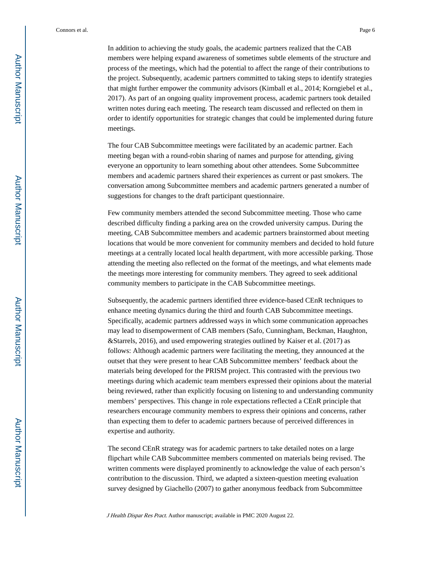In addition to achieving the study goals, the academic partners realized that the CAB members were helping expand awareness of sometimes subtle elements of the structure and process of the meetings, which had the potential to affect the range of their contributions to the project. Subsequently, academic partners committed to taking steps to identify strategies that might further empower the community advisors (Kimball et al., 2014; Korngiebel et al., 2017). As part of an ongoing quality improvement process, academic partners took detailed written notes during each meeting. The research team discussed and reflected on them in order to identify opportunities for strategic changes that could be implemented during future meetings.

The four CAB Subcommittee meetings were facilitated by an academic partner. Each meeting began with a round-robin sharing of names and purpose for attending, giving everyone an opportunity to learn something about other attendees. Some Subcommittee members and academic partners shared their experiences as current or past smokers. The conversation among Subcommittee members and academic partners generated a number of suggestions for changes to the draft participant questionnaire.

Few community members attended the second Subcommittee meeting. Those who came described difficulty finding a parking area on the crowded university campus. During the meeting, CAB Subcommittee members and academic partners brainstormed about meeting locations that would be more convenient for community members and decided to hold future meetings at a centrally located local health department, with more accessible parking. Those attending the meeting also reflected on the format of the meetings, and what elements made the meetings more interesting for community members. They agreed to seek additional community members to participate in the CAB Subcommittee meetings.

Subsequently, the academic partners identified three evidence-based CEnR techniques to enhance meeting dynamics during the third and fourth CAB Subcommittee meetings. Specifically, academic partners addressed ways in which some communication approaches may lead to disempowerment of CAB members (Safo, Cunningham, Beckman, Haughton, &Starrels, 2016), and used empowering strategies outlined by Kaiser et al. (2017) as follows: Although academic partners were facilitating the meeting, they announced at the outset that they were present to hear CAB Subcommittee members' feedback about the materials being developed for the PRISM project. This contrasted with the previous two meetings during which academic team members expressed their opinions about the material being reviewed, rather than explicitly focusing on listening to and understanding community members' perspectives. This change in role expectations reflected a CEnR principle that researchers encourage community members to express their opinions and concerns, rather than expecting them to defer to academic partners because of perceived differences in expertise and authority.

The second CEnR strategy was for academic partners to take detailed notes on a large flipchart while CAB Subcommittee members commented on materials being revised. The written comments were displayed prominently to acknowledge the value of each person's contribution to the discussion. Third, we adapted a sixteen-question meeting evaluation survey designed by Giachello (2007) to gather anonymous feedback from Subcommittee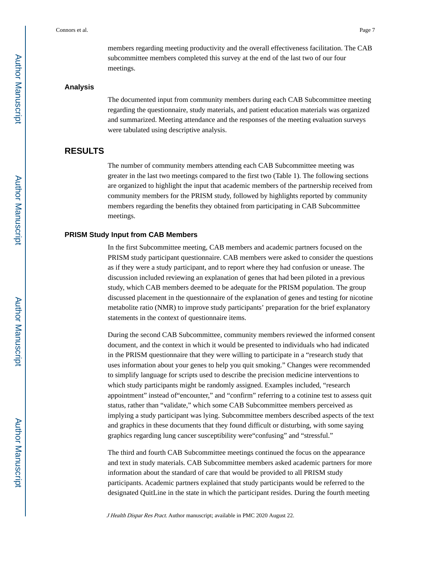members regarding meeting productivity and the overall effectiveness facilitation. The CAB subcommittee members completed this survey at the end of the last two of our four meetings.

#### **Analysis**

The documented input from community members during each CAB Subcommittee meeting regarding the questionnaire, study materials, and patient education materials was organized and summarized. Meeting attendance and the responses of the meeting evaluation surveys were tabulated using descriptive analysis.

### **RESULTS**

The number of community members attending each CAB Subcommittee meeting was greater in the last two meetings compared to the first two (Table 1). The following sections are organized to highlight the input that academic members of the partnership received from community members for the PRISM study, followed by highlights reported by community members regarding the benefits they obtained from participating in CAB Subcommittee meetings.

#### **PRISM Study Input from CAB Members**

In the first Subcommittee meeting, CAB members and academic partners focused on the PRISM study participant questionnaire. CAB members were asked to consider the questions as if they were a study participant, and to report where they had confusion or unease. The discussion included reviewing an explanation of genes that had been piloted in a previous study, which CAB members deemed to be adequate for the PRISM population. The group discussed placement in the questionnaire of the explanation of genes and testing for nicotine metabolite ratio (NMR) to improve study participants' preparation for the brief explanatory statements in the context of questionnaire items.

During the second CAB Subcommittee, community members reviewed the informed consent document, and the context in which it would be presented to individuals who had indicated in the PRISM questionnaire that they were willing to participate in a "research study that uses information about your genes to help you quit smoking." Changes were recommended to simplify language for scripts used to describe the precision medicine interventions to which study participants might be randomly assigned. Examples included, "research appointment" instead of"encounter," and "confirm" referring to a cotinine test to assess quit status, rather than "validate," which some CAB Subcommittee members perceived as implying a study participant was lying. Subcommittee members described aspects of the text and graphics in these documents that they found difficult or disturbing, with some saying graphics regarding lung cancer susceptibility were"confusing" and "stressful."

The third and fourth CAB Subcommittee meetings continued the focus on the appearance and text in study materials. CAB Subcommittee members asked academic partners for more information about the standard of care that would be provided to all PRISM study participants. Academic partners explained that study participants would be referred to the designated QuitLine in the state in which the participant resides. During the fourth meeting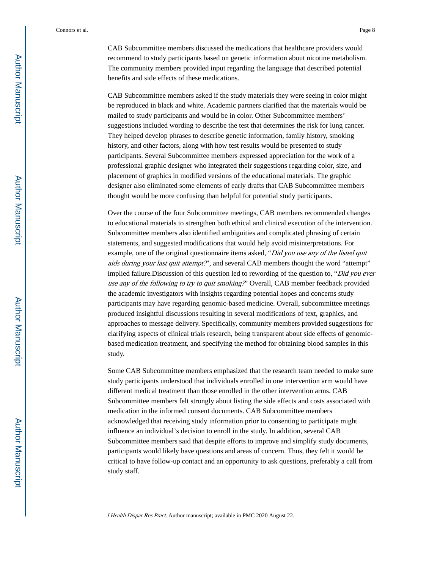CAB Subcommittee members discussed the medications that healthcare providers would recommend to study participants based on genetic information about nicotine metabolism. The community members provided input regarding the language that described potential benefits and side effects of these medications.

CAB Subcommittee members asked if the study materials they were seeing in color might be reproduced in black and white. Academic partners clarified that the materials would be mailed to study participants and would be in color. Other Subcommittee members' suggestions included wording to describe the test that determines the risk for lung cancer. They helped develop phrases to describe genetic information, family history, smoking history, and other factors, along with how test results would be presented to study participants. Several Subcommittee members expressed appreciation for the work of a professional graphic designer who integrated their suggestions regarding color, size, and placement of graphics in modified versions of the educational materials. The graphic designer also eliminated some elements of early drafts that CAB Subcommittee members thought would be more confusing than helpful for potential study participants.

Over the course of the four Subcommittee meetings, CAB members recommended changes to educational materials to strengthen both ethical and clinical execution of the intervention. Subcommittee members also identified ambiguities and complicated phrasing of certain statements, and suggested modifications that would help avoid misinterpretations. For example, one of the original questionnaire items asked, "Did you use any of the listed quit aids during your last quit attempt?", and several CAB members thought the word "attempt" implied failure. Discussion of this question led to rewording of the question to, "Did you ever use any of the following to try to quit smoking?" Overall, CAB member feedback provided the academic investigators with insights regarding potential hopes and concerns study participants may have regarding genomic-based medicine. Overall, subcommittee meetings produced insightful discussions resulting in several modifications of text, graphics, and approaches to message delivery. Specifically, community members provided suggestions for clarifying aspects of clinical trials research, being transparent about side effects of genomicbased medication treatment, and specifying the method for obtaining blood samples in this study.

Some CAB Subcommittee members emphasized that the research team needed to make sure study participants understood that individuals enrolled in one intervention arm would have different medical treatment than those enrolled in the other intervention arms. CAB Subcommittee members felt strongly about listing the side effects and costs associated with medication in the informed consent documents. CAB Subcommittee members acknowledged that receiving study information prior to consenting to participate might influence an individual's decision to enroll in the study. In addition, several CAB Subcommittee members said that despite efforts to improve and simplify study documents, participants would likely have questions and areas of concern. Thus, they felt it would be critical to have follow-up contact and an opportunity to ask questions, preferably a call from study staff.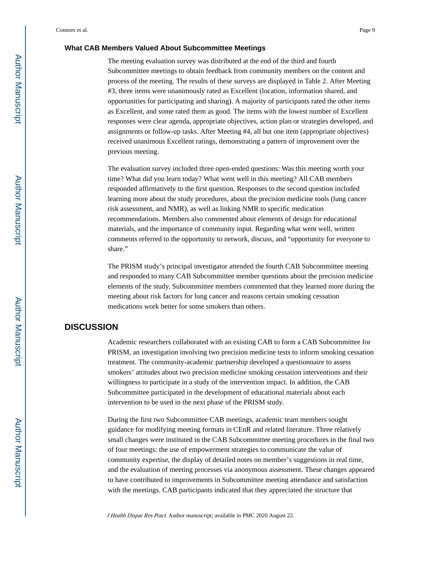#### **What CAB Members Valued About Subcommittee Meetings**

The meeting evaluation survey was distributed at the end of the third and fourth Subcommittee meetings to obtain feedback from community members on the content and process of the meeting. The results of these surveys are displayed in Table 2. After Meeting #3, three items were unanimously rated as Excellent (location, information shared, and opportunities for participating and sharing). A majority of participants rated the other items as Excellent, and some rated them as good. The items with the lowest number of Excellent responses were clear agenda, appropriate objectives, action plan or strategies developed, and assignments or follow-up tasks. After Meeting #4, all but one item (appropriate objectives) received unanimous Excellent ratings, demonstrating a pattern of improvement over the previous meeting.

The evaluation survey included three open-ended questions: Was this meeting worth your time? What did you learn today? What went well in this meeting? All CAB members responded affirmatively to the first question. Responses to the second question included learning more about the study procedures, about the precision medicine tools (lung cancer risk assessment, and NMR), as well as linking NMR to specific medication recommendations. Members also commented about elements of design for educational materials, and the importance of community input. Regarding what went well, written comments referred to the opportunity to network, discuss, and "opportunity for everyone to share."

The PRISM study's principal investigator attended the fourth CAB Subcommittee meeting and responded to many CAB Subcommittee member questions about the precision medicine elements of the study. Subcommittee members commented that they learned more during the meeting about risk factors for lung cancer and reasons certain smoking cessation medications work better for some smokers than others.

# **DISCUSSION**

Academic researchers collaborated with an existing CAB to form a CAB Subcommittee for PRISM, an investigation involving two precision medicine tests to inform smoking cessation treatment. The community-academic partnership developed a questionnaire to assess smokers' attitudes about two precision medicine smoking cessation interventions and their willingness to participate in a study of the intervention impact. In addition, the CAB Subcommittee participated in the development of educational materials about each intervention to be used in the next phase of the PRISM study.

During the first two Subcommittee CAB meetings, academic team members sought guidance for modifying meeting formats in CEnR and related literature. Three relatively small changes were instituted in the CAB Subcommittee meeting procedures in the final two of four meetings: the use of empowerment strategies to communicate the value of community expertise, the display of detailed notes on member's suggestions in real time, and the evaluation of meeting processes via anonymous assessment. These changes appeared to have contributed to improvements in Subcommittee meeting attendance and satisfaction with the meetings. CAB participants indicated that they appreciated the structure that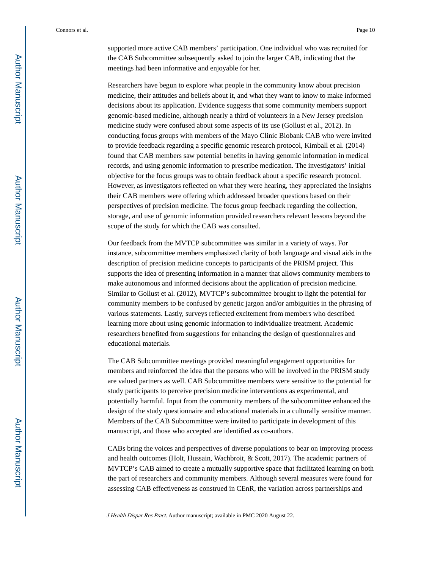supported more active CAB members' participation. One individual who was recruited for the CAB Subcommittee subsequently asked to join the larger CAB, indicating that the meetings had been informative and enjoyable for her.

Researchers have begun to explore what people in the community know about precision medicine, their attitudes and beliefs about it, and what they want to know to make informed decisions about its application. Evidence suggests that some community members support genomic-based medicine, although nearly a third of volunteers in a New Jersey precision medicine study were confused about some aspects of its use (Gollust et al., 2012). In conducting focus groups with members of the Mayo Clinic Biobank CAB who were invited to provide feedback regarding a specific genomic research protocol, Kimball et al. (2014) found that CAB members saw potential benefits in having genomic information in medical records, and using genomic information to prescribe medication. The investigators' initial objective for the focus groups was to obtain feedback about a specific research protocol. However, as investigators reflected on what they were hearing, they appreciated the insights their CAB members were offering which addressed broader questions based on their perspectives of precision medicine. The focus group feedback regarding the collection, storage, and use of genomic information provided researchers relevant lessons beyond the scope of the study for which the CAB was consulted.

Our feedback from the MVTCP subcommittee was similar in a variety of ways. For instance, subcommittee members emphasized clarity of both language and visual aids in the description of precision medicine concepts to participants of the PRISM project. This supports the idea of presenting information in a manner that allows community members to make autonomous and informed decisions about the application of precision medicine. Similar to Gollust et al. (2012), MVTCP's subcommittee brought to light the potential for community members to be confused by genetic jargon and/or ambiguities in the phrasing of various statements. Lastly, surveys reflected excitement from members who described learning more about using genomic information to individualize treatment. Academic researchers benefited from suggestions for enhancing the design of questionnaires and educational materials.

The CAB Subcommittee meetings provided meaningful engagement opportunities for members and reinforced the idea that the persons who will be involved in the PRISM study are valued partners as well. CAB Subcommittee members were sensitive to the potential for study participants to perceive precision medicine interventions as experimental, and potentially harmful. Input from the community members of the subcommittee enhanced the design of the study questionnaire and educational materials in a culturally sensitive manner. Members of the CAB Subcommittee were invited to participate in development of this manuscript, and those who accepted are identified as co-authors.

CABs bring the voices and perspectives of diverse populations to bear on improving process and health outcomes (Holt, Hussain, Wachbroit, & Scott, 2017). The academic partners of MVTCP's CAB aimed to create a mutually supportive space that facilitated learning on both the part of researchers and community members. Although several measures were found for assessing CAB effectiveness as construed in CEnR, the variation across partnerships and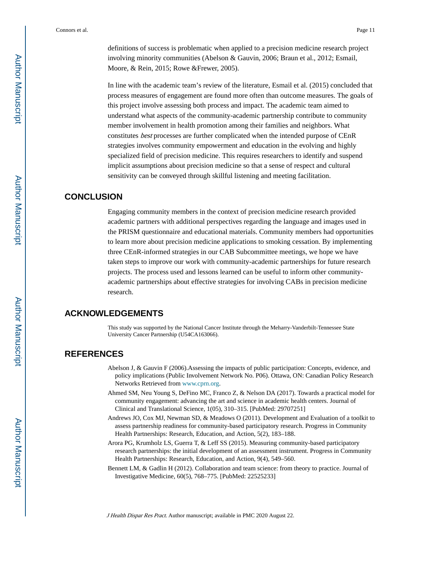definitions of success is problematic when applied to a precision medicine research project involving minority communities (Abelson & Gauvin, 2006; Braun et al., 2012; Esmail, Moore, & Rein, 2015; Rowe &Frewer, 2005).

In line with the academic team's review of the literature, Esmail et al. (2015) concluded that process measures of engagement are found more often than outcome measures. The goals of this project involve assessing both process and impact. The academic team aimed to understand what aspects of the community-academic partnership contribute to community member involvement in health promotion among their families and neighbors. What constitutes best processes are further complicated when the intended purpose of CEnR strategies involves community empowerment and education in the evolving and highly specialized field of precision medicine. This requires researchers to identify and suspend implicit assumptions about precision medicine so that a sense of respect and cultural sensitivity can be conveyed through skillful listening and meeting facilitation.

# **CONCLUSION**

Engaging community members in the context of precision medicine research provided academic partners with additional perspectives regarding the language and images used in the PRISM questionnaire and educational materials. Community members had opportunities to learn more about precision medicine applications to smoking cessation. By implementing three CEnR-informed strategies in our CAB Subcommittee meetings, we hope we have taken steps to improve our work with community-academic partnerships for future research projects. The process used and lessons learned can be useful to inform other communityacademic partnerships about effective strategies for involving CABs in precision medicine research.

## **ACKNOWLEDGEMENTS**

This study was supported by the National Cancer Institute through the Meharry-Vanderbilt-Tennessee State University Cancer Partnership (U54CA163066).

# **REFERENCES**

- Abelson J, & Gauvin F (2006).Assessing the impacts of public participation: Concepts, evidence, and policy implications (Public Involvement Network No. P06). Ottawa, ON: Canadian Policy Research Networks Retrieved from [www.cprn.org](http://www.cprn.org).
- Ahmed SM, Neu Young S, DeFino MC, Franco Z, & Nelson DA (2017). Towards a practical model for community engagement: advancing the art and science in academic health centers. Journal of Clinical and Translational Science, 1(05), 310–315. [PubMed: 29707251]
- Andrews JO, Cox MJ, Newman SD, & Meadows O (2011). Development and Evaluation of a toolkit to assess partnership readiness for community-based participatory research. Progress in Community Health Partnerships: Research, Education, and Action, 5(2), 183–188.
- Arora PG, Krumholz LS, Guerra T, & Leff SS (2015). Measuring community-based participatory research partnerships: the initial development of an assessment instrument. Progress in Community Health Partnerships: Research, Education, and Action, 9(4), 549–560.
- Bennett LM, & Gadlin H (2012). Collaboration and team science: from theory to practice. Journal of Investigative Medicine, 60(5), 768–775. [PubMed: 22525233]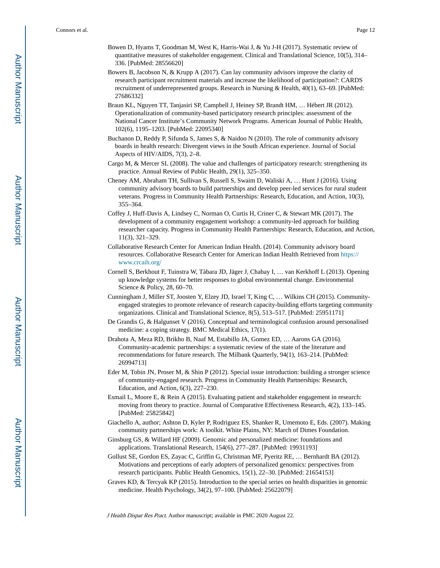- Bowen D, Hyams T, Goodman M, West K, Harris-Wai J, & Yu J-H (2017). Systematic review of quantitative measures of stakeholder engagement. Clinical and Translational Science, 10(5), 314– 336. [PubMed: 28556620]
- Bowers B, Jacobson N, & Krupp A (2017). Can lay community advisors improve the clarity of research participant recruitment materials and increase the likelihood of participation?: CARDS recruitment of underrepresented groups. Research in Nursing & Health, 40(1), 63–69. [PubMed: 27686332]
- Braun KL, Nguyen TT, Tanjasiri SP, Campbell J, Heiney SP, Brandt HM, … Hébert JR (2012). Operationalization of community-based participatory research principles: assessment of the National Cancer Institute's Community Network Programs. American Journal of Public Health, 102(6), 1195–1203. [PubMed: 22095340]
- Buchanon D, Reddy P, Sifunda S, James S, & Naidoo N (2010). The role of community advisory boards in health research: Divergent views in the South African experience. Journal of Social Aspects of HIV/AIDS, 7(3), 2–8.
- Cargo M, & Mercer SL (2008). The value and challenges of participatory research: strengthening its practice. Annual Review of Public Health, 29(1), 325–350.
- Cheney AM, Abraham TH, Sullivan S, Russell S, Swaim D, Waliski A, … Hunt J (2016). Using community advisory boards to build partnerships and develop peer-led services for rural student veterans. Progress in Community Health Partnerships: Research, Education, and Action, 10(3), 355–364.
- Coffey J, Huff-Davis A, Lindsey C, Norman O, Curtis H, Criner C, & Stewart MK (2017). The development of a community engagement workshop: a community-led approach for building researcher capacity. Progress in Community Health Partnerships: Research, Education, and Action, 11(3), 321–329.
- Collaborative Research Center for American Indian Health. (2014). Community advisory board resources. Collaborative Research Center for American Indian Health Retrieved from [https://](https://www.crcaih.org/) [www.crcaih.org/](https://www.crcaih.org/)
- Cornell S, Berkhout F, Tuinstra W, Tàbara JD, Jäger J, Chabay I, … van Kerkhoff L (2013). Opening up knowledge systems for better responses to global environmental change. Environmental Science & Policy, 28, 60–70.
- Cunningham J, Miller ST, Joosten Y, Elzey JD, Israel T, King C, … Wilkins CH (2015). Communityengaged strategies to promote relevance of research capacity-building efforts targeting community organizations. Clinical and Translational Science, 8(5), 513–517. [PubMed: 25951171]
- De Grandis G, & Halgunset V (2016). Conceptual and terminological confusion around personalised medicine: a coping strategy. BMC Medical Ethics, 17(1).
- Drahota A, Meza RD, Brikho B, Naaf M, Estabillo JA, Gomez ED, … Aarons GA (2016). Community-academic partnerships: a systematic review of the state of the literature and recommendations for future research. The Milbank Quarterly, 94(1), 163–214. [PubMed: 26994713]
- Eder M, Tobin JN, Proser M, & Shin P (2012). Special issue introduction: building a stronger science of community-engaged research. Progress in Community Health Partnerships: Research, Education, and Action, 6(3), 227–230.
- Esmail L, Moore E, & Rein A (2015). Evaluating patient and stakeholder engagement in research: moving from theory to practice. Journal of Comparative Effectiveness Research, 4(2), 133–145. [PubMed: 25825842]
- Giachello A, author; Ashton D, Kyler P, Rodriguez ES, Shanker R, Umemoto E, Eds. (2007). Making community partnerships work: A toolkit. White Plains, NY: March of Dimes Foundation.
- Ginsburg GS, & Willard HF (2009). Genomic and personalized medicine: foundations and applications. Translational Research, 154(6), 277–287. [PubMed: 19931193]
- Gollust SE, Gordon ES, Zayac C, Griffin G, Christman MF, Pyeritz RE, … Bernhardt BA (2012). Motivations and perceptions of early adopters of personalized genomics: perspectives from research participants. Public Health Genomics, 15(1), 22–30. [PubMed: 21654153]
- Graves KD, & Tercyak KP (2015). Introduction to the special series on health disparities in genomic medicine. Health Psychology, 34(2), 97–100. [PubMed: 25622079]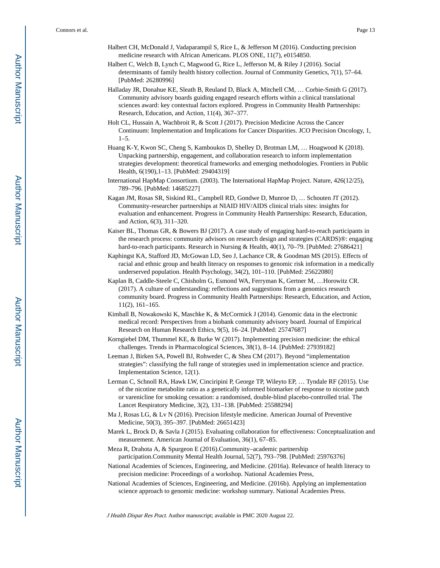- Halbert CH, McDonald J, Vadaparampil S, Rice L, & Jefferson M (2016). Conducting precision medicine research with African Americans. PLOS ONE, 11(7), e0154850.
- Halbert C, Welch B, Lynch C, Magwood G, Rice L, Jefferson M, & Riley J (2016). Social determinants of family health history collection. Journal of Community Genetics, 7(1), 57–64. [PubMed: 26280996]
- Halladay JR, Donahue KE, Sleath B, Reuland D, Black A, Mitchell CM, … Corbie-Smith G (2017). Community advisory boards guiding engaged research efforts within a clinical translational sciences award: key contextual factors explored. Progress in Community Health Partnerships: Research, Education, and Action, 11(4), 367–377.
- Holt CL, Hussain A, Wachbroit R, & Scott J (2017). Precision Medicine Across the Cancer Continuum: Implementation and Implications for Cancer Disparities. JCO Precision Oncology, 1, 1–5.
- Huang K-Y, Kwon SC, Cheng S, Kamboukos D, Shelley D, Brotman LM, … Hoagwood K (2018). Unpacking partnership, engagement, and collaboration research to inform implementation strategies development: theoretical frameworks and emerging methodologies. Frontiers in Public Health, 6(190),1–13. [PubMed: 29404319]
- International HapMap Consortium. (2003). The International HapMap Project. Nature, 426(12/25), 789–796. [PubMed: 14685227]
- Kagan JM, Rosas SR, Siskind RL, Campbell RD, Gondwe D, Munroe D, … Schouten JT (2012). Community-researcher partnerships at NIAID HIV/AIDS clinical trials sites: insights for evaluation and enhancement. Progress in Community Health Partnerships: Research, Education, and Action, 6(3), 311–320.
- Kaiser BL, Thomas GR, & Bowers BJ (2017). A case study of engaging hard-to-reach participants in the research process: community advisors on research design and strategies (CARDS)®: engaging hard-to-reach participants. Research in Nursing & Health, 40(1), 70-79. [PubMed: 27686421]
- Kaphingst KA, Stafford JD, McGowan LD, Seo J, Lachance CR, & Goodman MS (2015). Effects of racial and ethnic group and health literacy on responses to genomic risk information in a medically underserved population. Health Psychology, 34(2), 101–110. [PubMed: 25622080]
- Kaplan B, Caddle-Steele C, Chisholm G, Esmond WA, Ferryman K, Gertner M, …Horowitz CR. (2017). A culture of understanding: reflections and suggestions from a genomics research community board. Progress in Community Health Partnerships: Research, Education, and Action, 11(2), 161–165.
- Kimball B, Nowakowski K, Maschke K, & McCormick J (2014). Genomic data in the electronic medical record: Perspectives from a biobank community advisory board. Journal of Empirical Research on Human Research Ethics, 9(5), 16–24. [PubMed: 25747687]
- Korngiebel DM, Thummel KE, & Burke W (2017). Implementing precision medicine: the ethical challenges. Trends in Pharmacological Sciences, 38(1), 8–14. [PubMed: 27939182]
- Leeman J, Birken SA, Powell BJ, Rohweder C, & Shea CM (2017). Beyond "implementation strategies": classifying the full range of strategies used in implementation science and practice. Implementation Science, 12(1).
- Lerman C, Schnoll RA, Hawk LW, Cinciripini P, George TP, Wileyto EP, … Tyndale RF (2015). Use of the nicotine metabolite ratio as a genetically informed biomarker of response to nicotine patch or varenicline for smoking cessation: a randomised, double-blind placebo-controlled trial. The Lancet Respiratory Medicine, 3(2), 131–138. [PubMed: 25588294]
- Ma J, Rosas LG, & Lv N (2016). Precision lifestyle medicine. American Journal of Preventive Medicine, 50(3), 395–397. [PubMed: 26651423]
- Marek L, Brock D, & Savla J (2015). Evaluating collaboration for effectiveness: Conceptualization and measurement. American Journal of Evaluation, 36(1), 67–85.
- Meza R, Drahota A, & Spurgeon E (2016).Community–academic partnership participation.Community Mental Health Journal, 52(7), 793–798. [PubMed: 25976376]
- National Academies of Sciences, Engineering, and Medicine. (2016a). Relevance of health literacy to precision medicine: Proceedings of a workshop. National Academies Press,
- National Academies of Sciences, Engineering, and Medicine. (2016b). Applying an implementation science approach to genomic medicine: workshop summary. National Academies Press.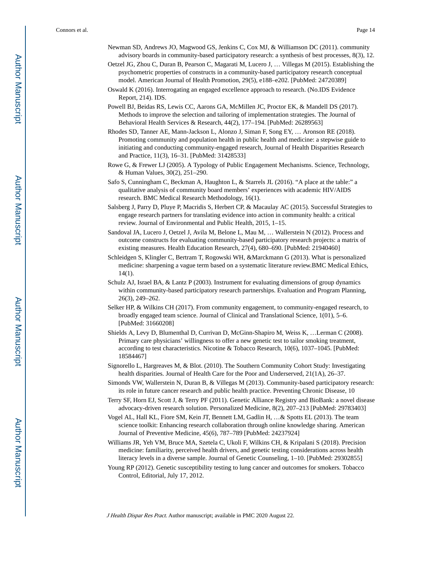- Newman SD, Andrews JO, Magwood GS, Jenkins C, Cox MJ, & Williamson DC (2011). community advisory boards in community-based participatory research: a synthesis of best processes, 8(3), 12.
- Oetzel JG, Zhou C, Duran B, Pearson C, Magarati M, Lucero J, … Villegas M (2015). Establishing the psychometric properties of constructs in a community-based participatory research conceptual model. American Journal of Health Promotion, 29(5), e188–e202. [PubMed: 24720389]
- Oswald K (2016). Interrogating an engaged excellence approach to research. (No.IDS Evidence Report, 214). IDS.
- Powell BJ, Beidas RS, Lewis CC, Aarons GA, McMillen JC, Proctor EK, & Mandell DS (2017). Methods to improve the selection and tailoring of implementation strategies. The Journal of Behavioral Health Services & Research, 44(2), 177–194. [PubMed: 26289563]
- Rhodes SD, Tanner AE, Mann-Jackson L, Alonzo J, Siman F, Song EY, … Aronson RE (2018). Promoting community and population health in public health and medicine: a stepwise guide to initiating and conducting community-engaged research, Journal of Health Disparities Research and Practice, 11(3), 16–31. [PubMed: 31428533]
- Rowe G, & Frewer LJ (2005). A Typology of Public Engagement Mechanisms. Science, Technology, & Human Values, 30(2), 251–290.
- Safo S, Cunningham C, Beckman A, Haughton L, & Starrels JL (2016). "A place at the table:" a qualitative analysis of community board members' experiences with academic HIV/AIDS research. BMC Medical Research Methodology, 16(1).
- Salsberg J, Parry D, Pluye P, Macridis S, Herbert CP, & Macaulay AC (2015). Successful Strategies to engage research partners for translating evidence into action in community health: a critical review. Journal of Environmental and Public Health, 2015, 1–15.
- Sandoval JA, Lucero J, Oetzel J, Avila M, Belone L, Mau M, … Wallerstein N (2012). Process and outcome constructs for evaluating community-based participatory research projects: a matrix of existing measures. Health Education Research, 27(4), 680–690. [PubMed: 21940460]
- Schleidgen S, Klingler C, Bertram T, Rogowski WH, &Marckmann G (2013). What is personalized medicine: sharpening a vague term based on a systematic literature review.BMC Medical Ethics, 14(1).
- Schulz AJ, Israel BA, & Lantz P (2003). Instrument for evaluating dimensions of group dynamics within community-based participatory research partnerships. Evaluation and Program Planning, 26(3), 249–262.
- Selker HP, & Wilkins CH (2017). From community engagement, to community-engaged research, to broadly engaged team science. Journal of Clinical and Translational Science, 1(01), 5–6. [PubMed: 31660208]
- Shields A, Levy D, Blumenthal D, Currivan D, McGinn-Shapiro M, Weiss K, …Lerman C (2008). Primary care physicians' willingness to offer a new genetic test to tailor smoking treatment, according to test characteristics. Nicotine & Tobacco Research, 10(6), 1037–1045. [PubMed: 18584467]
- Signorello L, Hargreaves M, & Blot. (2010). The Southern Community Cohort Study: Investigating health disparities. Journal of Health Care for the Poor and Underserved, 21(1A), 26–37.
- Simonds VW, Wallerstein N, Duran B, & Villegas M (2013). Community-based participatory research: its role in future cancer research and public health practice. Preventing Chronic Disease, 10
- Terry SF, Horn EJ, Scott J, & Terry PF (2011). Genetic Alliance Registry and BioBank: a novel disease advocacy-driven research solution. Personalized Medicine, 8(2), 207–213 [PubMed: 29783403]
- Vogel AL, Hall KL, Fiore SM, Kein JT, Bennett LM, Gadlin H, …& Spotts EL (2013). The team science toolkit: Enhancing research collaboration through online knowledge sharing. American Journal of Preventive Medicine, 45(6), 787–789 [PubMed: 24237924]
- Williams JR, Yeh VM, Bruce MA, Szetela C, Ukoli F, Wilkins CH, & Kripalani S (2018). Precision medicine: familiarity, perceived health drivers, and genetic testing considerations across health literacy levels in a diverse sample. Journal of Genetic Counseling, 1–10. [PubMed: 29302855]
- Young RP (2012). Genetic susceptibility testing to lung cancer and outcomes for smokers. Tobacco Control, Editorial, July 17, 2012.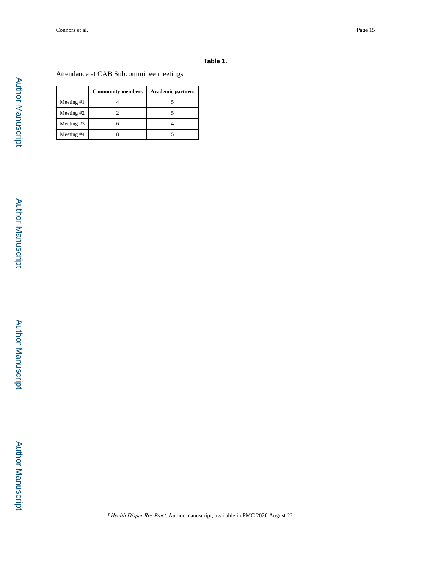#### **Table 1.**

Attendance at CAB Subcommittee meetings

|              | <b>Community members</b> | <b>Academic partners</b> |
|--------------|--------------------------|--------------------------|
| Meeting #1   |                          |                          |
| Meeting $#2$ |                          |                          |
| Meeting #3   |                          |                          |
| Meeting #4   |                          |                          |